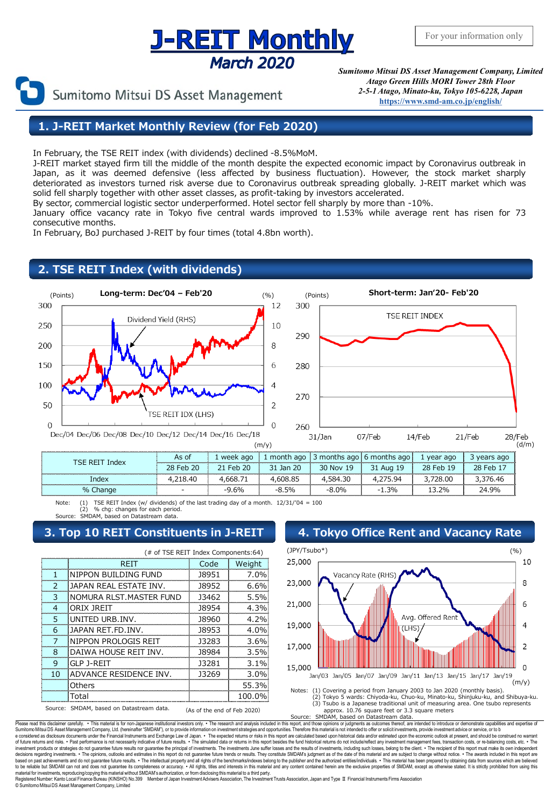# **J-REIT Monthly March 2020**

Sumitomo Mitsui DS Asset Management

*Sumitomo Mitsui DS Asset Management Company, Limited Atago Green Hills MORI Tower 28th Floor 2-5-1 Atago, Minato-ku, Tokyo 105-6228, Japan* **[https://www.smd-am.co.jp/english/](http://www.smam-jp.com/english/)**

## **1. J-REIT Market Monthly Review (for Feb 2020)**

In February, the TSE REIT index (with dividends) declined -8.5%MoM.

J-REIT market stayed firm till the middle of the month despite the expected economic impact by Coronavirus outbreak in Japan, as it was deemed defensive (less affected by business fluctuation). However, the stock market sharply deteriorated as investors turned risk averse due to Coronavirus outbreak spreading globally. J-REIT market which was solid fell sharply together with other asset classes, as profit-taking by investors accelerated.

By sector, commercial logistic sector underperformed. Hotel sector fell sharply by more than -10%.

January office vacancy rate in Tokyo five central wards improved to 1.53% while average rent has risen for 73 consecutive months.

In February, BoJ purchased J-REIT by four times (total 4.8bn worth).

## **2. TSE REIT Index (with dividends)**





| <b>TSE REIT Index</b> | As of     | . week ago |           |           | l month ago   3 months ago   6 months ago | 1 year ago | vears ago |
|-----------------------|-----------|------------|-----------|-----------|-------------------------------------------|------------|-----------|
|                       | 28 Feb 20 | 21 Feb 20  | 31 Jan 20 | 30 Nov 19 | 31 Aug 19                                 | 28 Feb 19  | 28 Feb 17 |
| Index                 | 18.40     | 4.668.71   |           | 584.30    | 275 94                                    |            | 376.46    |
| % Change              | -         | $-9.6%$    | $-8.5%$   | -8.0%     | $-1.3%$                                   | .2%        | 24.9%     |

Note: (1) TSE REIT Index (w/ dividends) of the last trading day of a month. 12/31/'04 = 100 (2) % chg: changes for each period. MDAM, based on Datastream data

## **3. Top 10 REIT Constituents in J-REIT 4. Tokyo Office Rent and Vacancy Rate**

|                                                                         | (# of TSE REIT Index Components:64) |       |        |  |  |  |
|-------------------------------------------------------------------------|-------------------------------------|-------|--------|--|--|--|
|                                                                         | RFIT                                | Code  | Weight |  |  |  |
| 1                                                                       | NIPPON BUILDING FUND                | 18951 | 7.0%   |  |  |  |
| $\mathcal{P}$                                                           | JAPAN REAL ESTATE INV.              | 18952 | 6.6%   |  |  |  |
| 3                                                                       | NOMURA RLST.MASTER FUND             | 13462 | 5.5%   |  |  |  |
| 4                                                                       | ORIX JREIT                          | 18954 | 4.3%   |  |  |  |
| 5                                                                       | UNITED URB.INV.                     | 18960 | 4.2%   |  |  |  |
| 6                                                                       | <b>JAPAN RET.FD. INV.</b>           | 18953 | 4.0%   |  |  |  |
| 7                                                                       | NIPPON PROLOGIS REIT                | 13283 | 3.6%   |  |  |  |
| 8                                                                       | DAIWA HOUSE REIT INV.               | 18984 | 3.5%   |  |  |  |
| q                                                                       | GLP J-REIT                          | 13281 | 3.1%   |  |  |  |
| 10                                                                      | ADVANCE RESIDENCE INV.              | 13269 | 3.0%   |  |  |  |
|                                                                         | Others                              |       | 55.3%  |  |  |  |
|                                                                         | Total                               |       | 100.0% |  |  |  |
| Source: SMDAM, based on Datastream data.<br>(As of the end of Feb 2020) |                                     |       |        |  |  |  |





Please read this disclaimer carefully. . This material is for non-Japanese institutional investors only. . The research and analysis included in this report, and those opinions or judgments as outcomes thereof, are intende e considered as disclosure documents under the Financial Instruments and Exchange Law of Japan. • The expected returns or risks in this report are calculated based upon historical data and/or estimated upon the economic ou decisions regarding investments. • The opinors, outlooks and estimates in this report do not guarantee fully requist the benchmarks/indexes belonguist SMDAM's judgment as of the date of this meta-fail and are subjects to © SumitomoMitsui DS Asset Management Company, Limited